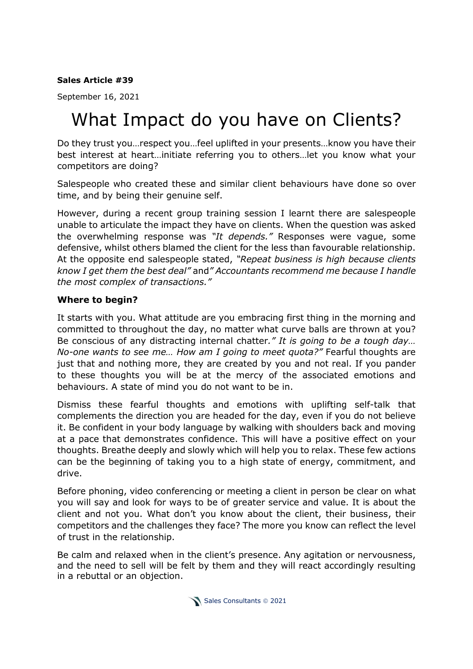## **Sales Article #39**

September 16, 2021

## What Impact do you have on Clients?

Do they trust you…respect you…feel uplifted in your presents…know you have their best interest at heart…initiate referring you to others…let you know what your competitors are doing?

Salespeople who created these and similar client behaviours have done so over time, and by being their genuine self.

However, during a recent group training session I learnt there are salespeople unable to articulate the impact they have on clients. When the question was asked the overwhelming response was *"It depends."* Responses were vague, some defensive, whilst others blamed the client for the less than favourable relationship. At the opposite end salespeople stated, *"Repeat business is high because clients know I get them the best deal"* and*" Accountants recommend me because I handle the most complex of transactions."*

## **Where to begin?**

It starts with you. What attitude are you embracing first thing in the morning and committed to throughout the day, no matter what curve balls are thrown at you? Be conscious of any distracting internal chatter*." It is going to be a tough day… No-one wants to see me… How am I going to meet quota?"* Fearful thoughts are just that and nothing more, they are created by you and not real. If you pander to these thoughts you will be at the mercy of the associated emotions and behaviours. A state of mind you do not want to be in.

Dismiss these fearful thoughts and emotions with uplifting self-talk that complements the direction you are headed for the day, even if you do not believe it. Be confident in your body language by walking with shoulders back and moving at a pace that demonstrates confidence. This will have a positive effect on your thoughts. Breathe deeply and slowly which will help you to relax. These few actions can be the beginning of taking you to a high state of energy, commitment, and drive.

Before phoning, video conferencing or meeting a client in person be clear on what you will say and look for ways to be of greater service and value. It is about the client and not you. What don't you know about the client, their business, their competitors and the challenges they face? The more you know can reflect the level of trust in the relationship.

Be calm and relaxed when in the client's presence. Any agitation or nervousness, and the need to sell will be felt by them and they will react accordingly resulting in a rebuttal or an objection.